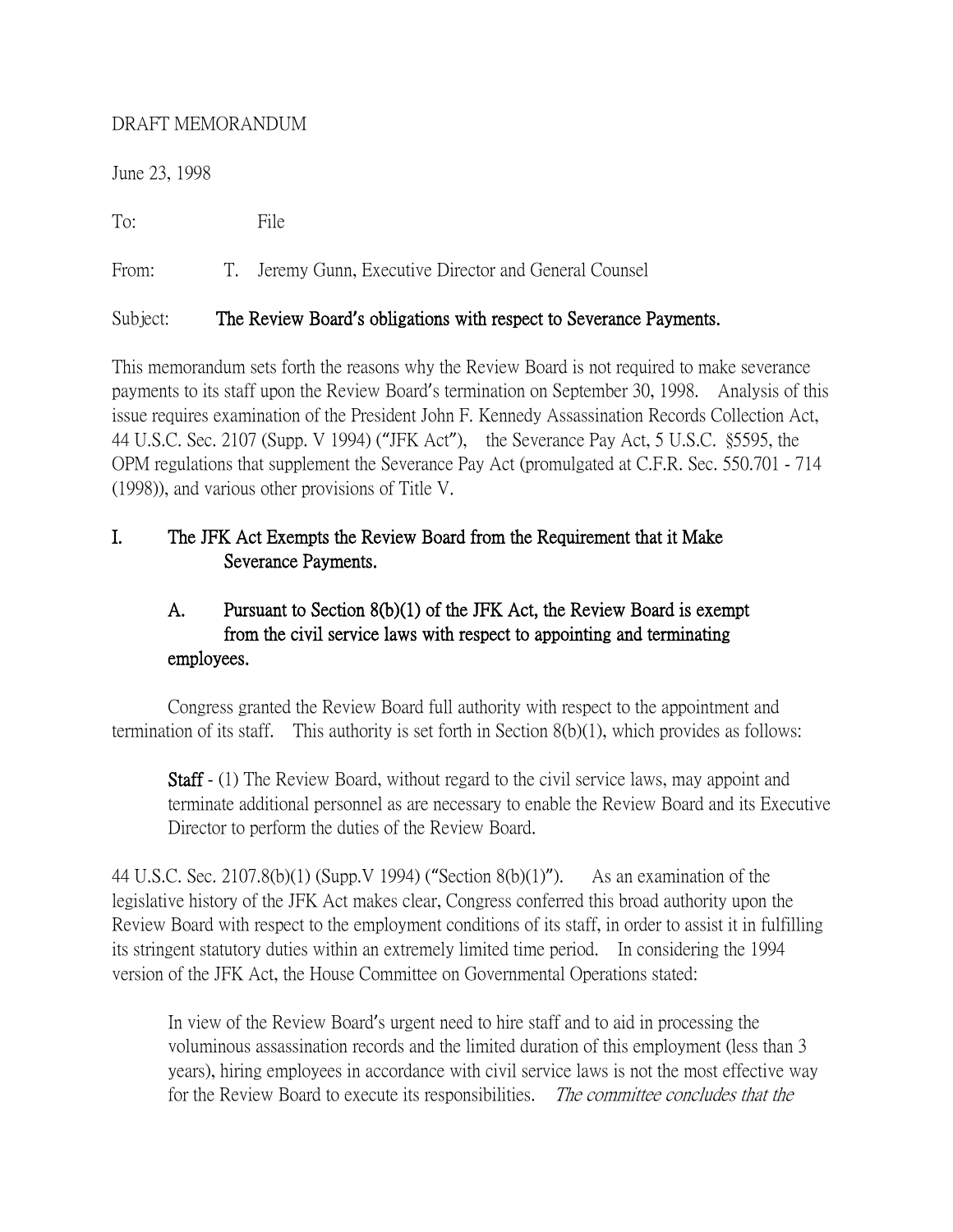### DRAFT MEMORANDUM

June 23, 1998

To: File

From: T. Jeremy Gunn, Executive Director and General Counsel

## Subject: The Review Board**'**s obligations with respect to Severance Payments.

This memorandum sets forth the reasons why the Review Board is not required to make severance payments to its staff upon the Review Board's termination on September 30, 1998. Analysis of this issue requires examination of the President John F. Kennedy Assassination Records Collection Act, 44 U.S.C. Sec. 2107 (Supp. V 1994) ("JFK Act"), the Severance Pay Act, 5 U.S.C. §5595, the OPM regulations that supplement the Severance Pay Act (promulgated at C.F.R. Sec. 550.701 - 714 (1998)), and various other provisions of Title V.

# I. The JFK Act Exempts the Review Board from the Requirement that it Make Severance Payments.

# A. Pursuant to Section 8(b)(1) of the JFK Act, the Review Board is exempt from the civil service laws with respect to appointing and terminating employees.

Congress granted the Review Board full authority with respect to the appointment and termination of its staff. This authority is set forth in Section 8(b)(1), which provides as follows:

Staff - (1) The Review Board, without regard to the civil service laws, may appoint and terminate additional personnel as are necessary to enable the Review Board and its Executive Director to perform the duties of the Review Board.

44 U.S.C. Sec. 2107.8(b)(1) (Supp.V 1994) ("Section 8(b)(1)"). As an examination of the legislative history of the JFK Act makes clear, Congress conferred this broad authority upon the Review Board with respect to the employment conditions of its staff, in order to assist it in fulfilling its stringent statutory duties within an extremely limited time period. In considering the 1994 version of the JFK Act, the House Committee on Governmental Operations stated:

In view of the Review Board's urgent need to hire staff and to aid in processing the voluminous assassination records and the limited duration of this employment (less than 3 years), hiring employees in accordance with civil service laws is not the most effective way for the Review Board to execute its responsibilities. The committee concludes that the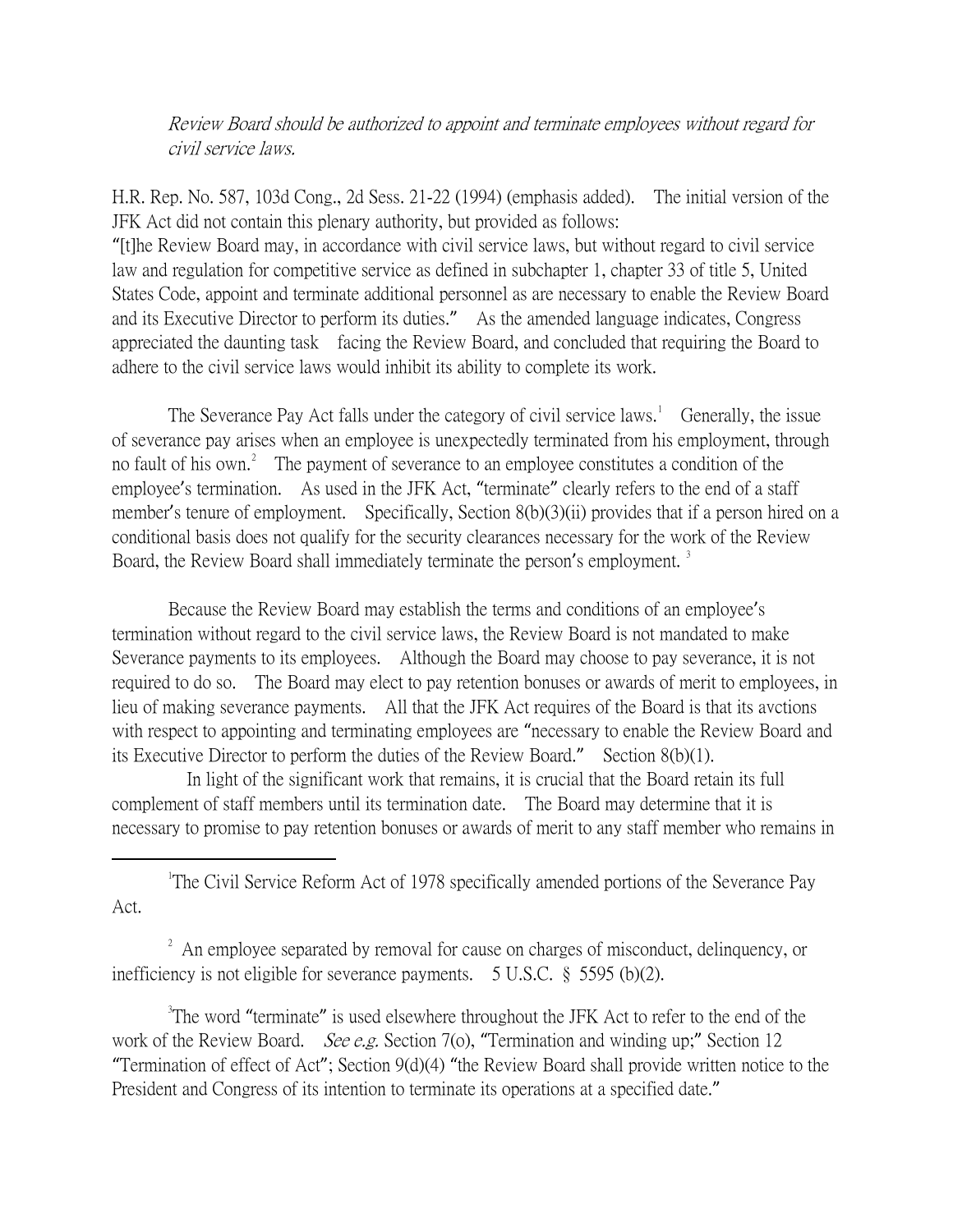Review Board should be authorized to appoint and terminate employees without regard for civil service laws.

H.R. Rep. No. 587, 103d Cong., 2d Sess. 21-22 (1994) (emphasis added). The initial version of the JFK Act did not contain this plenary authority, but provided as follows: "[t]he Review Board may, in accordance with civil service laws, but without regard to civil service law and regulation for competitive service as defined in subchapter 1, chapter 33 of title 5, United States Code, appoint and terminate additional personnel as are necessary to enable the Review Board and its Executive Director to perform its duties." As the amended language indicates, Congress appreciated the daunting task facing the Review Board, and concluded that requiring the Board to adhere to the civil service laws would inhibit its ability to complete its work.

The Severance Pay Act falls under the category of civil service laws.<sup>[1](#page-1-0)</sup> Generally, the issue of severance pay arises when an employee is unexpectedly terminated from his employment, through no fault of his own.<sup>[2](#page-1-1)</sup> The payment of severance to an employee constitutes a condition of the employee's termination. As used in the JFK Act, "terminate" clearly refers to the end of a staff member's tenure of employment. Specifically, Section 8(b)(3)(ii) provides that if a person hired on a conditional basis does not qualify for the security clearances necessary for the work of the Review Board, the Review Board shall immediately terminate the person's employment.<sup>[3](#page-1-2)</sup>

Because the Review Board may establish the terms and conditions of an employee's termination without regard to the civil service laws, the Review Board is not mandated to make Severance payments to its employees. Although the Board may choose to pay severance, it is not required to do so. The Board may elect to pay retention bonuses or awards of merit to employees, in lieu of making severance payments. All that the JFK Act requires of the Board is that its avctions with respect to appointing and terminating employees are "necessary to enable the Review Board and its Executive Director to perform the duties of the Review Board." Section 8(b)(1).

 In light of the significant work that remains, it is crucial that the Board retain its full complement of staff members until its termination date. The Board may determine that it is necessary to promise to pay retention bonuses or awards of merit to any staff member who remains in

<span id="page-1-0"></span> $\overline{\phantom{a}}$ <sup>1</sup>The Civil Service Reform Act of 1978 specifically amended portions of the Severance Pay Act.

<span id="page-1-1"></span> $2\alpha$  An employee separated by removal for cause on charges of misconduct, delinquency, or inefficiency is not eligible for severance payments. 5 U.S.C. § 5595 (b)(2).

<span id="page-1-2"></span><sup>3</sup>The word "terminate" is used elsewhere throughout the JFK Act to refer to the end of the work of the Review Board. *See e.g.* Section 7(o), "Termination and winding up;" Section 12 "Termination of effect of Act"; Section 9(d)(4) "the Review Board shall provide written notice to the President and Congress of its intention to terminate its operations at a specified date."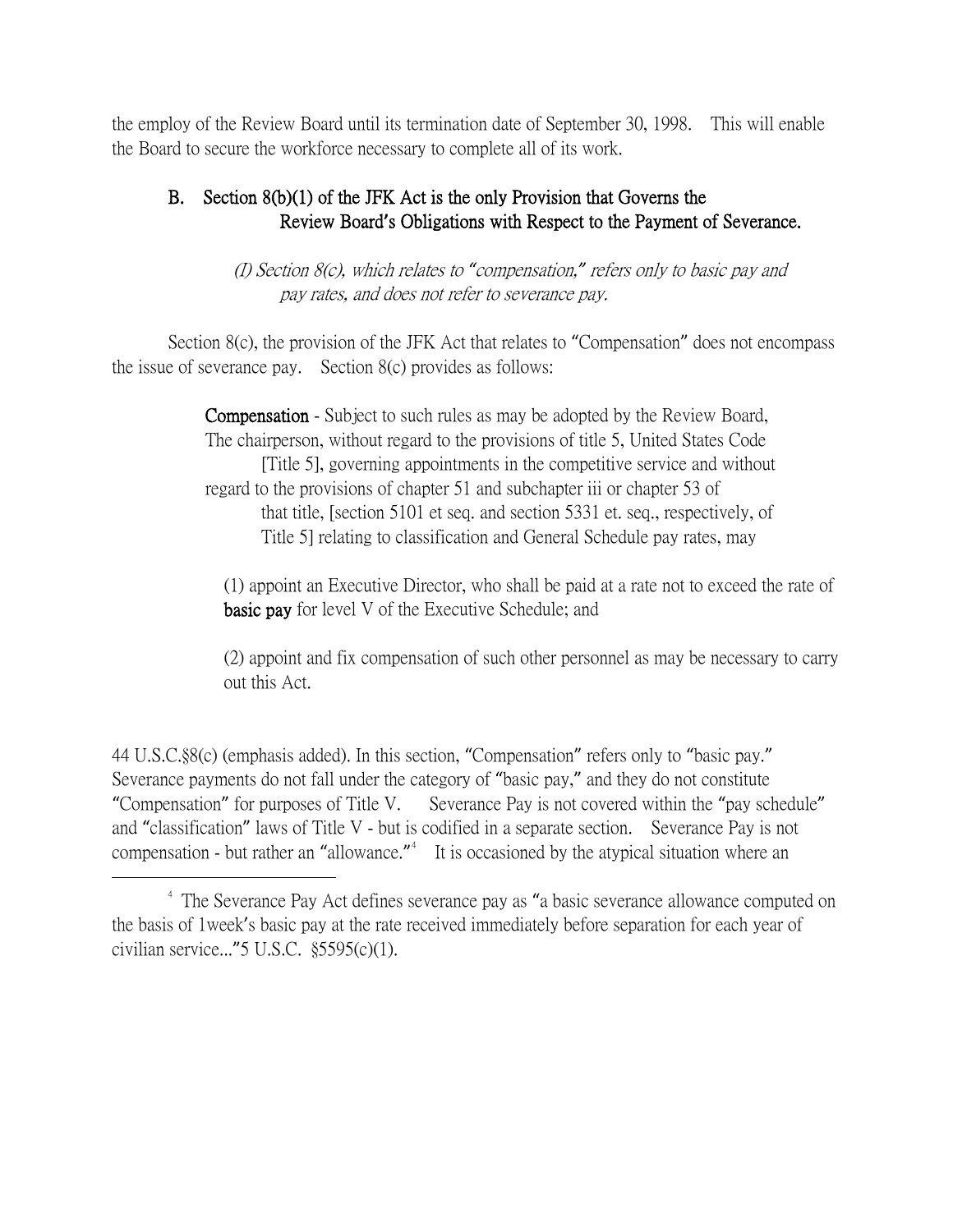the employ of the Review Board until its termination date of September 30, 1998. This will enable the Board to secure the workforce necessary to complete all of its work.

## B. Section 8(b)(1) of the JFK Act is the only Provision that Governs the Review Board**'**s Obligations with Respect to the Payment of Severance.

 (I) Section 8(c), which relates to *"*compensation,*"* refers only to basic pay and pay rates, and does not refer to severance pay.

Section 8(c), the provision of the JFK Act that relates to "Compensation" does not encompass the issue of severance pay. Section 8(c) provides as follows:

> Compensation - Subject to such rules as may be adopted by the Review Board, The chairperson, without regard to the provisions of title 5, United States Code [Title 5], governing appointments in the competitive service and without regard to the provisions of chapter 51 and subchapter iii or chapter 53 of that title, [section 5101 et seq. and section 5331 et. seq., respectively, of Title 5] relating to classification and General Schedule pay rates, may

 (1) appoint an Executive Director, who shall be paid at a rate not to exceed the rate of basic pay for level V of the Executive Schedule; and

(2) appoint and fix compensation of such other personnel as may be necessary to carry out this Act.

44 U.S.C.§8(c) (emphasis added). In this section, "Compensation" refers only to "basic pay." Severance payments do not fall under the category of "basic pay," and they do not constitute "Compensation" for purposes of Title V. Severance Pay is not covered within the "pay schedule" and "classification" laws of Title V - but is codified in a separate section. Severance Pay is not compensation - but rather an "allowance."<sup>[4](#page-2-0)</sup> It is occasioned by the atypical situation where an

<span id="page-2-0"></span><sup>&</sup>lt;sup>4</sup> The Severance Pay Act defines severance pay as "a basic severance allowance computed on the basis of 1week's basic pay at the rate received immediately before separation for each year of civilian service..."5 U.S.C. §5595(c)(1).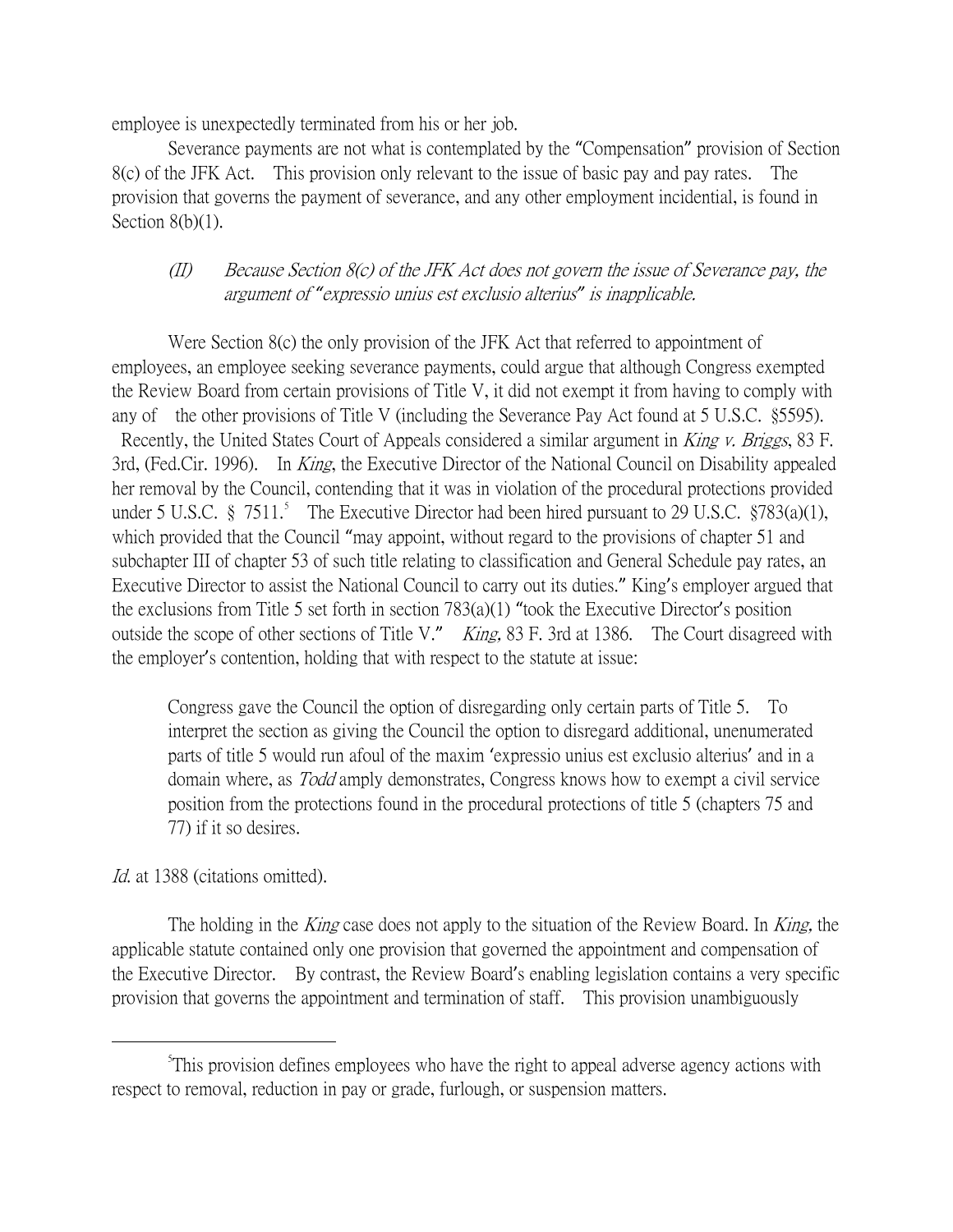employee is unexpectedly terminated from his or her job.

Severance payments are not what is contemplated by the "Compensation" provision of Section 8(c) of the JFK Act. This provision only relevant to the issue of basic pay and pay rates. The provision that governs the payment of severance, and any other employment incidential, is found in Section 8(b)(1).

## (II) Because Section 8(c) of the JFK Act does not govern the issue of Severance pay, the argument of *"*expressio unius est exclusio alterius*"* is inapplicable.

Were Section 8(c) the only provision of the JFK Act that referred to appointment of employees, an employee seeking severance payments, could argue that although Congress exempted the Review Board from certain provisions of Title V, it did not exempt it from having to comply with any of the other provisions of Title V (including the Severance Pay Act found at 5 U.S.C. §5595). Recently, the United States Court of Appeals considered a similar argument in King v. Briggs, 83 F. 3rd, (Fed.Cir. 1996). In *King*, the Executive Director of the National Council on Disability appealed her removal by the Council, contending that it was in violation of the procedural protections provided under [5](#page-3-0) U.S.C.  $\S$  7511.<sup>5</sup> The Executive Director had been hired pursuant to 29 U.S.C.  $\S$ 783(a)(1), which provided that the Council "may appoint, without regard to the provisions of chapter 51 and subchapter III of chapter 53 of such title relating to classification and General Schedule pay rates, an Executive Director to assist the National Council to carry out its duties." King's employer argued that the exclusions from Title 5 set forth in section 783(a)(1) "took the Executive Director's position outside the scope of other sections of Title V." King, 83 F. 3rd at 1386. The Court disagreed with the employer's contention, holding that with respect to the statute at issue:

Congress gave the Council the option of disregarding only certain parts of Title 5. To interpret the section as giving the Council the option to disregard additional, unenumerated parts of title 5 would run afoul of the maxim 'expressio unius est exclusio alterius' and in a domain where, as *Todd* amply demonstrates, Congress knows how to exempt a civil service position from the protections found in the procedural protections of title 5 (chapters 75 and 77) if it so desires.

### Id. at 1388 (citations omitted).

The holding in the *King* case does not apply to the situation of the Review Board. In *King*, the applicable statute contained only one provision that governed the appointment and compensation of the Executive Director. By contrast, the Review Board's enabling legislation contains a very specific provision that governs the appointment and termination of staff. This provision unambiguously

<span id="page-3-0"></span> $\frac{1}{5}$ This provision defines employees who have the right to appeal adverse agency actions with respect to removal, reduction in pay or grade, furlough, or suspension matters.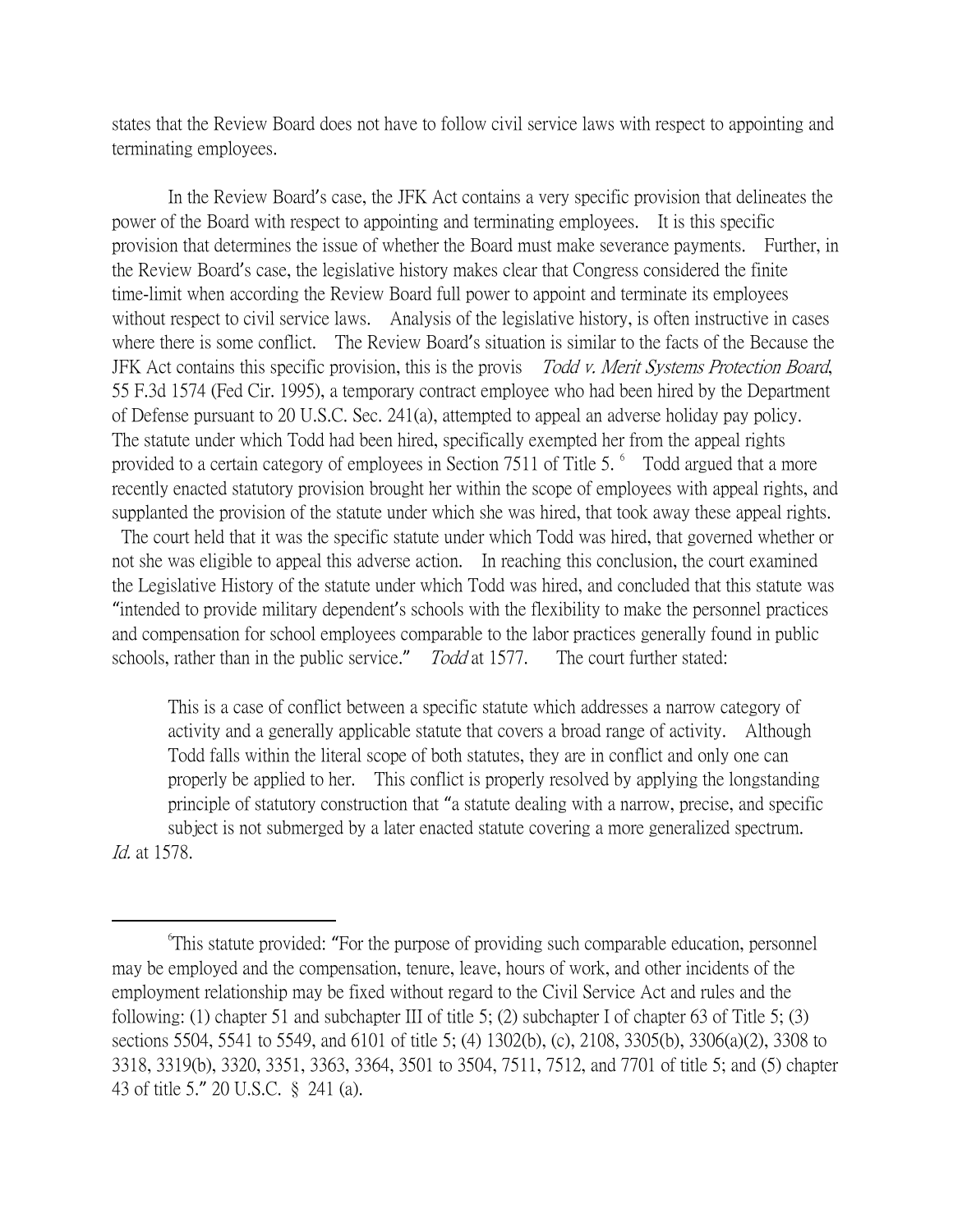states that the Review Board does not have to follow civil service laws with respect to appointing and terminating employees.

In the Review Board's case, the JFK Act contains a very specific provision that delineates the power of the Board with respect to appointing and terminating employees. It is this specific provision that determines the issue of whether the Board must make severance payments. Further, in the Review Board's case, the legislative history makes clear that Congress considered the finite time-limit when according the Review Board full power to appoint and terminate its employees without respect to civil service laws. Analysis of the legislative history, is often instructive in cases where there is some conflict. The Review Board's situation is similar to the facts of the Because the JFK Act contains this specific provision, this is the provis Todd v. Merit Systems Protection Board, 55 F.3d 1574 (Fed Cir. 1995), a temporary contract employee who had been hired by the Department of Defense pursuant to 20 U.S.C. Sec. 241(a), attempted to appeal an adverse holiday pay policy. The statute under which Todd had been hired, specifically exempted her from the appeal rights provided to a certain category of employees in Section 7511 of Title 5. <sup>[6](#page-4-0)</sup> Todd argued that a more recently enacted statutory provision brought her within the scope of employees with appeal rights, and supplanted the provision of the statute under which she was hired, that took away these appeal rights.

The court held that it was the specific statute under which Todd was hired, that governed whether or not she was eligible to appeal this adverse action. In reaching this conclusion, the court examined the Legislative History of the statute under which Todd was hired, and concluded that this statute was "intended to provide military dependent's schools with the flexibility to make the personnel practices and compensation for school employees comparable to the labor practices generally found in public schools, rather than in the public service." Todd at 1577. The court further stated:

This is a case of conflict between a specific statute which addresses a narrow category of activity and a generally applicable statute that covers a broad range of activity. Although Todd falls within the literal scope of both statutes, they are in conflict and only one can properly be applied to her. This conflict is properly resolved by applying the longstanding principle of statutory construction that "a statute dealing with a narrow, precise, and specific subject is not submerged by a later enacted statute covering a more generalized spectrum. Id. at 1578.

<span id="page-4-0"></span> $\overline{\phantom{a}}$ This statute provided: "For the purpose of providing such comparable education, personnel may be employed and the compensation, tenure, leave, hours of work, and other incidents of the employment relationship may be fixed without regard to the Civil Service Act and rules and the following: (1) chapter 51 and subchapter III of title 5; (2) subchapter I of chapter 63 of Title 5; (3) sections 5504, 5541 to 5549, and 6101 of title 5; (4) 1302(b), (c), 2108, 3305(b), 3306(a)(2), 3308 to 3318, 3319(b), 3320, 3351, 3363, 3364, 3501 to 3504, 7511, 7512, and 7701 of title 5; and (5) chapter 43 of title 5." 20 U.S.C. § 241 (a).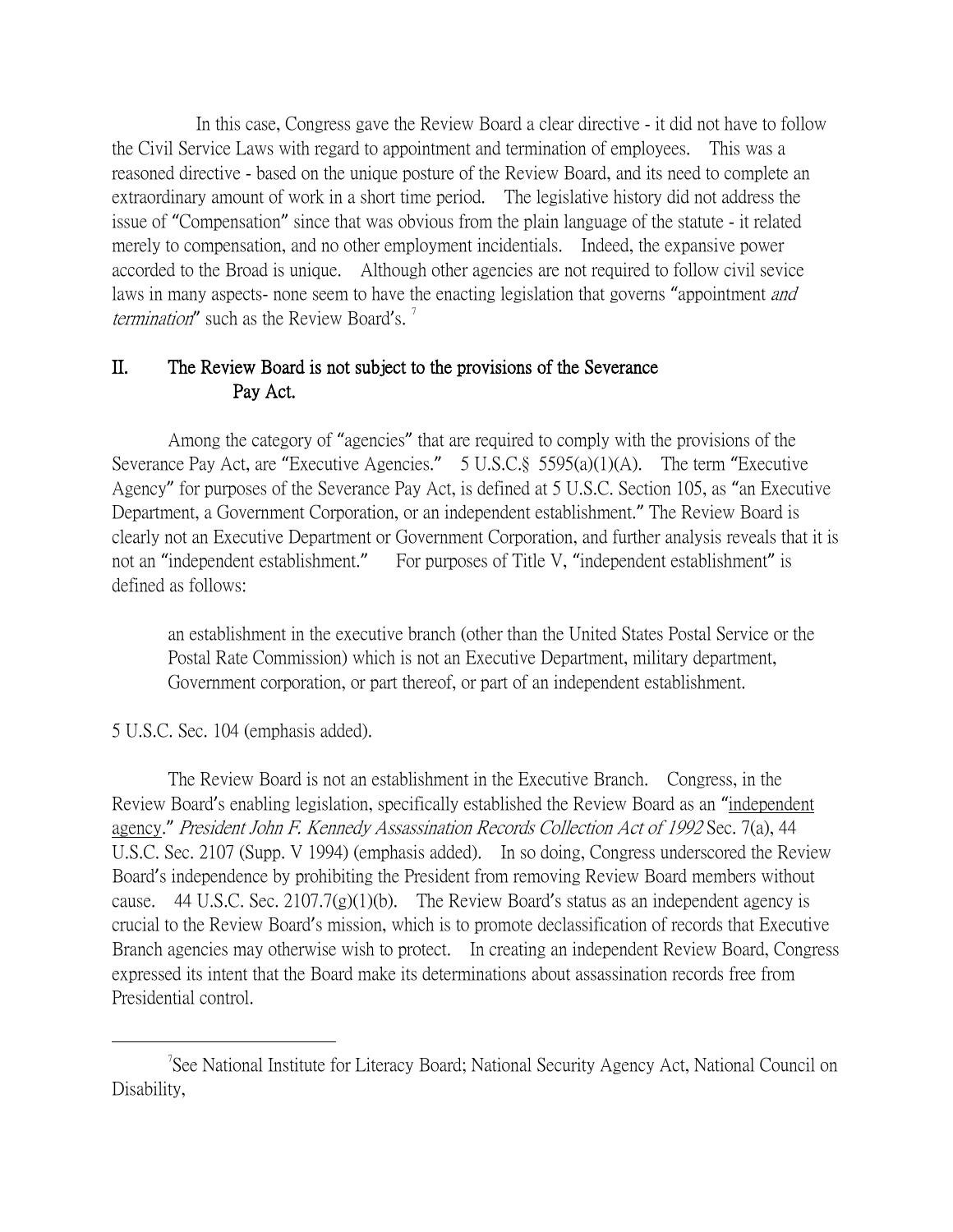In this case, Congress gave the Review Board a clear directive - it did not have to follow the Civil Service Laws with regard to appointment and termination of employees. This was a reasoned directive - based on the unique posture of the Review Board, and its need to complete an extraordinary amount of work in a short time period. The legislative history did not address the issue of "Compensation" since that was obvious from the plain language of the statute - it related merely to compensation, and no other employment incidentials. Indeed, the expansive power accorded to the Broad is unique. Although other agencies are not required to follow civil sevice laws in many aspects- none seem to have the enacting legislation that governs "appointment *and termination*" such as the Review Board's.<sup>[7](#page-5-0)</sup>

### II. The Review Board is not subject to the provisions of the Severance Pay Act.

Among the category of "agencies" that are required to comply with the provisions of the Severance Pay Act, are "Executive Agencies." 5 U.S.C.§ 5595(a)(1)(A). The term "Executive Agency" for purposes of the Severance Pay Act, is defined at 5 U.S.C. Section 105, as "an Executive Department, a Government Corporation, or an independent establishment." The Review Board is clearly not an Executive Department or Government Corporation, and further analysis reveals that it is not an "independent establishment." For purposes of Title V, "independent establishment" is defined as follows:

an establishment in the executive branch (other than the United States Postal Service or the Postal Rate Commission) which is not an Executive Department, military department, Government corporation, or part thereof, or part of an independent establishment.

### 5 U.S.C. Sec. 104 (emphasis added).

The Review Board is not an establishment in the Executive Branch. Congress, in the Review Board's enabling legislation, specifically established the Review Board as an "independent agency." President John F. Kennedy Assassination Records Collection Act of 1992 Sec. 7(a), 44 U.S.C. Sec. 2107 (Supp. V 1994) (emphasis added). In so doing, Congress underscored the Review Board's independence by prohibiting the President from removing Review Board members without cause. 44 U.S.C. Sec.  $2107.7(g)(1)(b)$ . The Review Board's status as an independent agency is crucial to the Review Board's mission, which is to promote declassification of records that Executive Branch agencies may otherwise wish to protect. In creating an independent Review Board, Congress expressed its intent that the Board make its determinations about assassination records free from Presidential control.

<span id="page-5-0"></span> $\overline{\phantom{a}}$ See National Institute for Literacy Board; National Security Agency Act, National Council on Disability,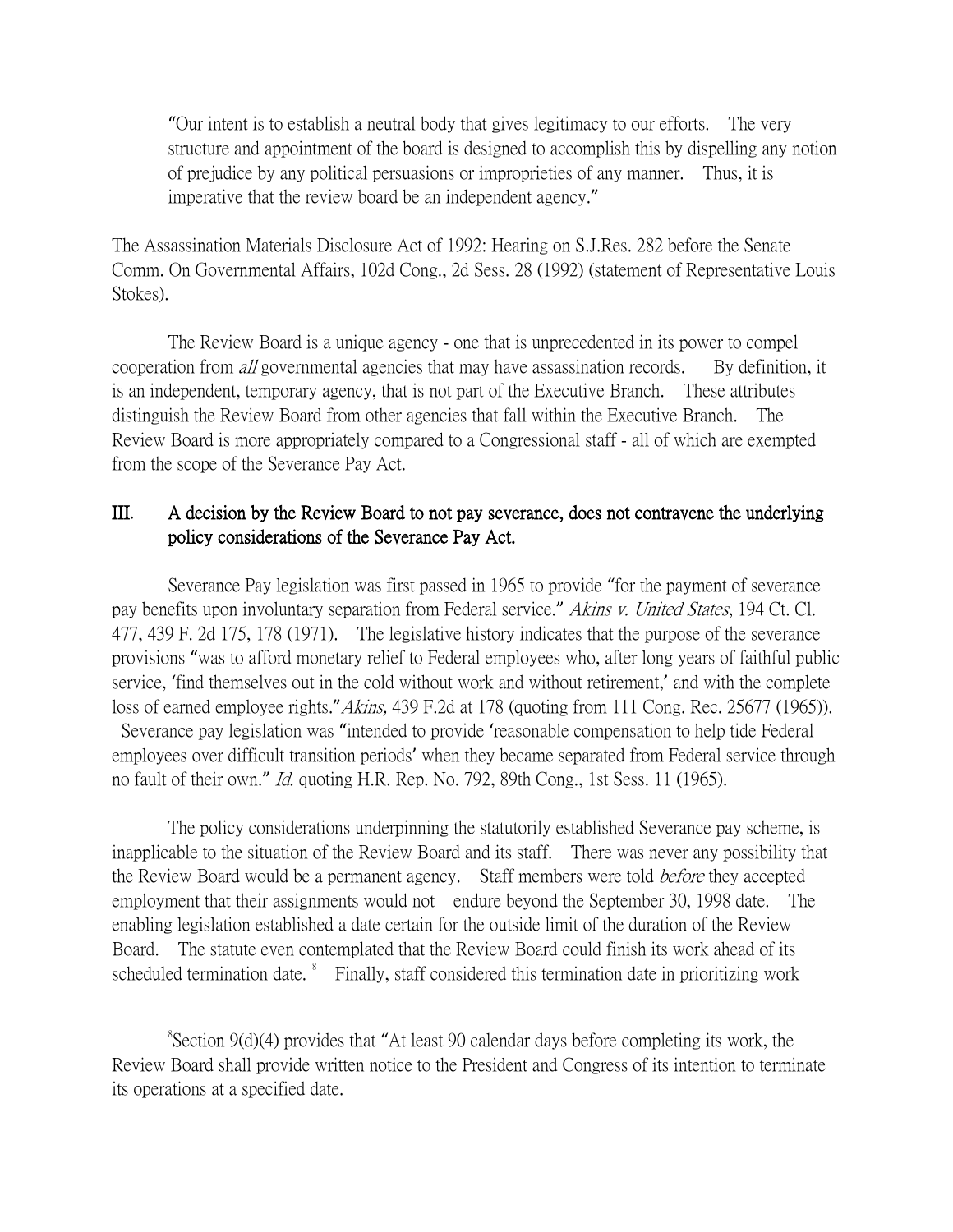"Our intent is to establish a neutral body that gives legitimacy to our efforts. The very structure and appointment of the board is designed to accomplish this by dispelling any notion of prejudice by any political persuasions or improprieties of any manner. Thus, it is imperative that the review board be an independent agency."

The Assassination Materials Disclosure Act of 1992: Hearing on S.J.Res. 282 before the Senate Comm. On Governmental Affairs, 102d Cong., 2d Sess. 28 (1992) (statement of Representative Louis Stokes).

The Review Board is a unique agency - one that is unprecedented in its power to compel cooperation from *all* governmental agencies that may have assassination records. By definition, it is an independent, temporary agency, that is not part of the Executive Branch. These attributes distinguish the Review Board from other agencies that fall within the Executive Branch. The Review Board is more appropriately compared to a Congressional staff - all of which are exempted from the scope of the Severance Pay Act.

### III. A decision by the Review Board to not pay severance, does not contravene the underlying policy considerations of the Severance Pay Act.

Severance Pay legislation was first passed in 1965 to provide "for the payment of severance pay benefits upon involuntary separation from Federal service." Akins v. United States, 194 Ct. Cl. 477, 439 F. 2d 175, 178 (1971). The legislative history indicates that the purpose of the severance provisions "was to afford monetary relief to Federal employees who, after long years of faithful public service, 'find themselves out in the cold without work and without retirement,' and with the complete loss of earned employee rights." Akins, 439 F.2d at 178 (quoting from 111 Cong. Rec. 25677 (1965)). Severance pay legislation was "intended to provide 'reasonable compensation to help tide Federal

employees over difficult transition periods' when they became separated from Federal service through no fault of their own." Id. quoting H.R. Rep. No. 792, 89th Cong., 1st Sess. 11 (1965).

The policy considerations underpinning the statutorily established Severance pay scheme, is inapplicable to the situation of the Review Board and its staff. There was never any possibility that the Review Board would be a permanent agency. Staff members were told *before* they accepted employment that their assignments would not endure beyond the September 30, 1998 date. The enabling legislation established a date certain for the outside limit of the duration of the Review Board. The statute even contemplated that the Review Board could finish its work ahead of its scheduled termination date.  $\degree$  Finally, staff considered this termination date in prioritizing work

<span id="page-6-0"></span> <sup>8</sup> Section 9(d)(4) provides that "At least 90 calendar days before completing its work, the Review Board shall provide written notice to the President and Congress of its intention to terminate its operations at a specified date.